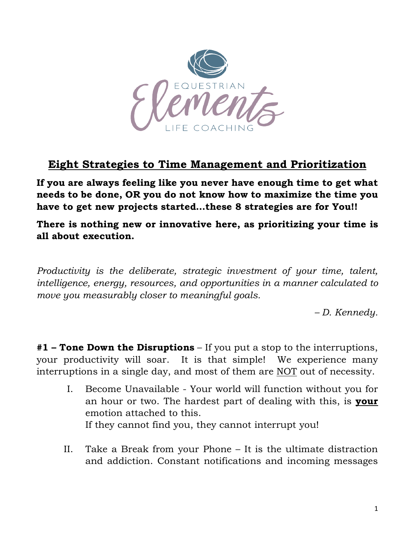

## **Eight Strategies to Time Management and Prioritization**

**If you are always feeling like you never have enough time to get what needs to be done, OR you do not know how to maximize the time you have to get new projects started…these 8 strategies are for You!!**

**There is nothing new or innovative here, as prioritizing your time is all about execution.**

*Productivity is the deliberate, strategic investment of your time, talent, intelligence, energy, resources, and opportunities in a manner calculated to move you measurably closer to meaningful goals.*

*– D. Kennedy.*

**#1 – Tone Down the Disruptions** – If you put a stop to the interruptions, your productivity will soar. It is that simple! We experience many interruptions in a single day, and most of them are NOT out of necessity.

- I. Become Unavailable Your world will function without you for an hour or two. The hardest part of dealing with this, is **your** emotion attached to this. If they cannot find you, they cannot interrupt you!
- II. Take a Break from your Phone It is the ultimate distraction and addiction. Constant notifications and incoming messages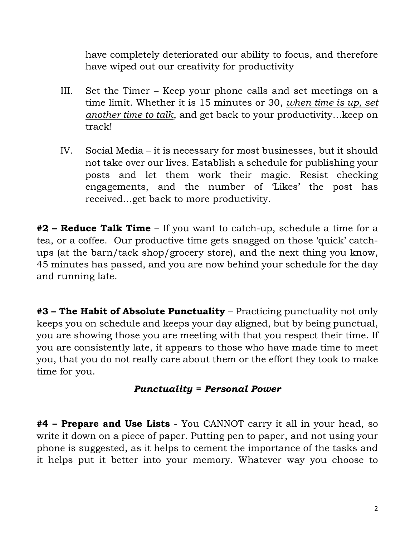have completely deteriorated our ability to focus, and therefore have wiped out our creativity for productivity

- III. Set the Timer Keep your phone calls and set meetings on a time limit. Whether it is 15 minutes or 30, *when time is up, set another time to talk*, and get back to your productivity…keep on track!
- IV. Social Media it is necessary for most businesses, but it should not take over our lives. Establish a schedule for publishing your posts and let them work their magic. Resist checking engagements, and the number of 'Likes' the post has received…get back to more productivity.

**#2 – Reduce Talk Time** – If you want to catch-up, schedule a time for a tea, or a coffee. Our productive time gets snagged on those 'quick' catchups (at the barn/tack shop/grocery store), and the next thing you know, 45 minutes has passed, and you are now behind your schedule for the day and running late.

**#3 – The Habit of Absolute Punctuality** – Practicing punctuality not only keeps you on schedule and keeps your day aligned, but by being punctual, you are showing those you are meeting with that you respect their time. If you are consistently late, it appears to those who have made time to meet you, that you do not really care about them or the effort they took to make time for you.

## *Punctuality = Personal Power*

**#4 – Prepare and Use Lists** - You CANNOT carry it all in your head, so write it down on a piece of paper. Putting pen to paper, and not using your phone is suggested, as it helps to cement the importance of the tasks and it helps put it better into your memory. Whatever way you choose to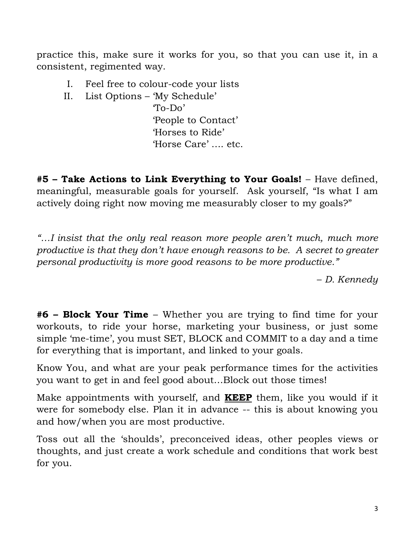practice this, make sure it works for you, so that you can use it, in a consistent, regimented way.

- I. Feel free to colour-code your lists
- II. List Options 'My Schedule'

 'To-Do' 'People to Contact' 'Horses to Ride' 'Horse Care' …. etc.

**#5 – Take Actions to Link Everything to Your Goals!** – Have defined, meaningful, measurable goals for yourself. Ask yourself, "Is what I am actively doing right now moving me measurably closer to my goals?"

*"…I insist that the only real reason more people aren't much, much more productive is that they don't have enough reasons to be. A secret to greater personal productivity is more good reasons to be more productive."*

– *D. Kennedy*

**#6 – Block Your Time** – Whether you are trying to find time for your workouts, to ride your horse, marketing your business, or just some simple 'me-time', you must SET, BLOCK and COMMIT to a day and a time for everything that is important, and linked to your goals.

Know You, and what are your peak performance times for the activities you want to get in and feel good about…Block out those times!

Make appointments with yourself, and **KEEP** them, like you would if it were for somebody else. Plan it in advance -- this is about knowing you and how/when you are most productive.

Toss out all the 'shoulds', preconceived ideas, other peoples views or thoughts, and just create a work schedule and conditions that work best for you.